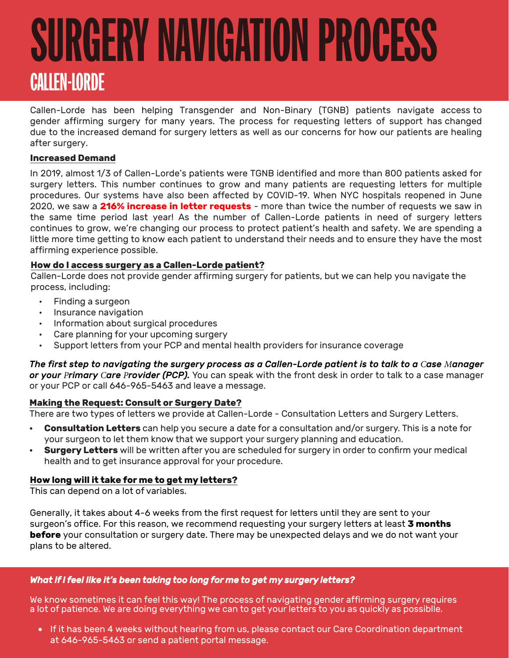# SURGERY NAVIGATION PROCESS CALLEN-LORDE

Callen-Lorde has been helping Transgender and Non-Binary (TGNB) patients navigate access to gender affirming surgery for many years. The process for requesting letters of support has changed due to the increased demand for surgery letters as well as our concerns for how our patients are healing after surgery.

# **Increased Demand**

In 2019, almost 1/3 of Callen-Lorde's patients were TGNB identified and more than 800 patients asked for surgery letters. This number continues to grow and many patients are requesting letters for multiple procedures. Our systems have also been affected by COVID-19. When NYC hospitals reopened in June 2020, we saw a **216% increase in letter requests** - more than twice the number of requests we saw in the same time period last year! As the number of Callen-Lorde patients in need of surgery letters continues to grow, we're changing our process to protect patient's health and safety. We are spending a little more time getting to know each patient to understand their needs and to ensure they have the most affirming experience possible.

### **How do I access surgery as a Callen-Lorde patient?**

Callen-Lorde does not provide gender affirming surgery for patients, but we can help you navigate the process, including:

- Finding a surgeon
- Insurance navigation
- Information about surgical procedures
- Care planning for your upcoming surgery
- Support letters from your PCP and mental health providers for insurance coverage

*The first step to navigating the surgery process as a Callen-Lorde patient is to talk to a Case Manager or your Primary Care Provider (PCP).* You can speak with the front desk in order to talk to a case manager or your PCP or call 646-965-5463 and leave a message.

### **Making the Request: Consult or Surgery Date?**

There are two types of letters we provide at Callen-Lorde - Consultation Letters and Surgery Letters.

- **• Consultation Letters** can help you secure a date for a consultation and/or surgery. This is a note for your surgeon to let them know that we support your surgery planning and education.
- **• Surgery Letters** will be written after you are scheduled for surgery in order to confirm your medical health and to get insurance approval for your procedure.

### **How long will it take for me to get my letters?**

This can depend on a lot of variables.

Generally, it takes about 4-6 weeks from the first request for letters until they are sent to your surgeon's office. For this reason, we recommend requesting your surgery letters at least **3 months before** your consultation or surgery date. There may be unexpected delays and we do not want your plans to be altered.

### *What if I feel like it's been taking too long for me to get my surgery letters?*

We know sometimes it can feel this way! The process of navigating gender affirming surgery requires a lot of patience. We are doing everything we can to get your letters to you as quickly as possiblle.

• If it has been 4 weeks without hearing from us, please contact our Care Coordination department at 646-965-5463 or send a patient portal message.